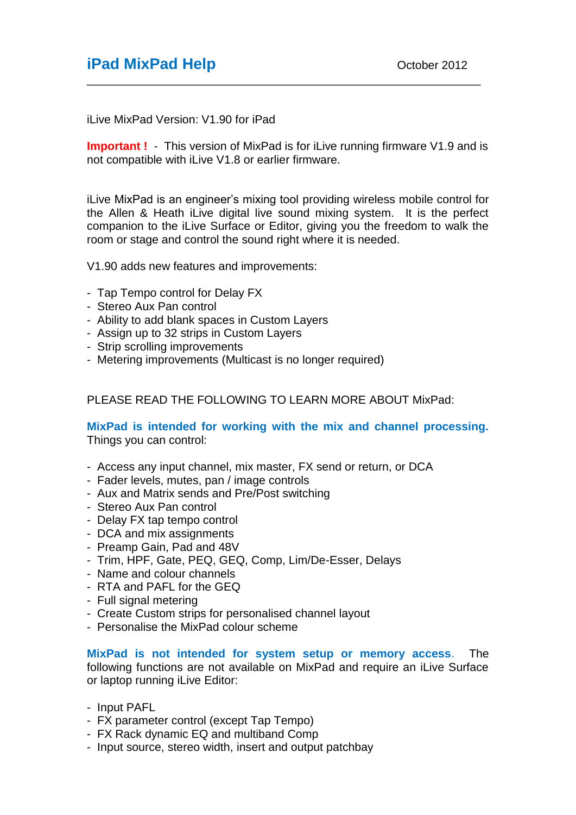## **iPad MixPad Help Dec October 2012**

iLive MixPad Version: V1.90 for iPad

**Important !** - This version of MixPad is for iLive running firmware V1.9 and is not compatible with iLive V1.8 or earlier firmware.

\_\_\_\_\_\_\_\_\_\_\_\_\_\_\_\_\_\_\_\_\_\_\_\_\_\_\_\_\_\_\_\_\_\_\_\_\_\_\_\_\_\_\_\_\_\_\_\_\_\_\_\_\_\_\_\_\_\_\_\_\_

iLive MixPad is an engineer's mixing tool providing wireless mobile control for the Allen & Heath iLive digital live sound mixing system. It is the perfect companion to the iLive Surface or Editor, giving you the freedom to walk the room or stage and control the sound right where it is needed.

V1.90 adds new features and improvements:

- Tap Tempo control for Delay FX
- Stereo Aux Pan control
- Ability to add blank spaces in Custom Layers
- Assign up to 32 strips in Custom Layers
- Strip scrolling improvements
- Metering improvements (Multicast is no longer required)

PLEASE READ THE FOLLOWING TO LEARN MORE ABOUT MixPad:

#### **MixPad is intended for working with the mix and channel processing.** Things you can control:

- Access any input channel, mix master, FX send or return, or DCA
- Fader levels, mutes, pan / image controls
- Aux and Matrix sends and Pre/Post switching
- Stereo Aux Pan control
- Delay FX tap tempo control
- DCA and mix assignments
- Preamp Gain, Pad and 48V
- Trim, HPF, Gate, PEQ, GEQ, Comp, Lim/De-Esser, Delays
- Name and colour channels
- RTA and PAFL for the GEQ
- Full signal metering
- Create Custom strips for personalised channel layout
- Personalise the MixPad colour scheme

**MixPad is not intended for system setup or memory access**. The following functions are not available on MixPad and require an iLive Surface or laptop running iLive Editor:

- Input PAFL
- FX parameter control (except Tap Tempo)
- FX Rack dynamic EQ and multiband Comp
- Input source, stereo width, insert and output patchbay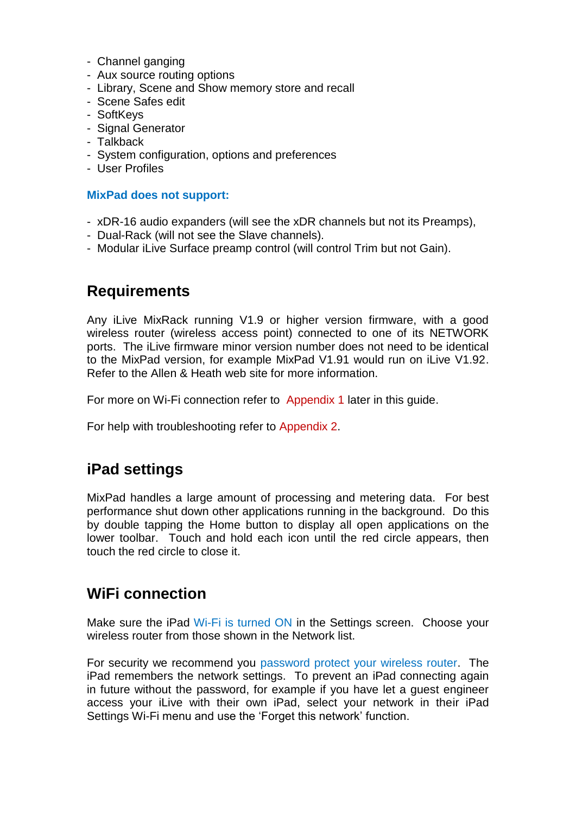- Channel ganging
- Aux source routing options
- Library, Scene and Show memory store and recall
- Scene Safes edit
- SoftKeys
- Signal Generator
- Talkback
- System configuration, options and preferences
- User Profiles

#### **MixPad does not support:**

- xDR-16 audio expanders (will see the xDR channels but not its Preamps),
- Dual-Rack (will not see the Slave channels).
- Modular iLive Surface preamp control (will control Trim but not Gain).

## **Requirements**

Any iLive MixRack running V1.9 or higher version firmware, with a good wireless router (wireless access point) connected to one of its NETWORK ports. The iLive firmware minor version number does not need to be identical to the MixPad version, for example MixPad V1.91 would run on iLive V1.92. Refer to the Allen & Heath web site for more information.

For more on Wi-Fi connection refer to Appendix 1 later in this guide.

For help with troubleshooting refer to Appendix 2.

### **iPad settings**

MixPad handles a large amount of processing and metering data. For best performance shut down other applications running in the background. Do this by double tapping the Home button to display all open applications on the lower toolbar. Touch and hold each icon until the red circle appears, then touch the red circle to close it.

### **WiFi connection**

Make sure the iPad Wi-Fi is turned ON in the Settings screen. Choose your wireless router from those shown in the Network list.

For security we recommend you password protect your wireless router. The iPad remembers the network settings. To prevent an iPad connecting again in future without the password, for example if you have let a guest engineer access your iLive with their own iPad, select your network in their iPad Settings Wi-Fi menu and use the 'Forget this network' function.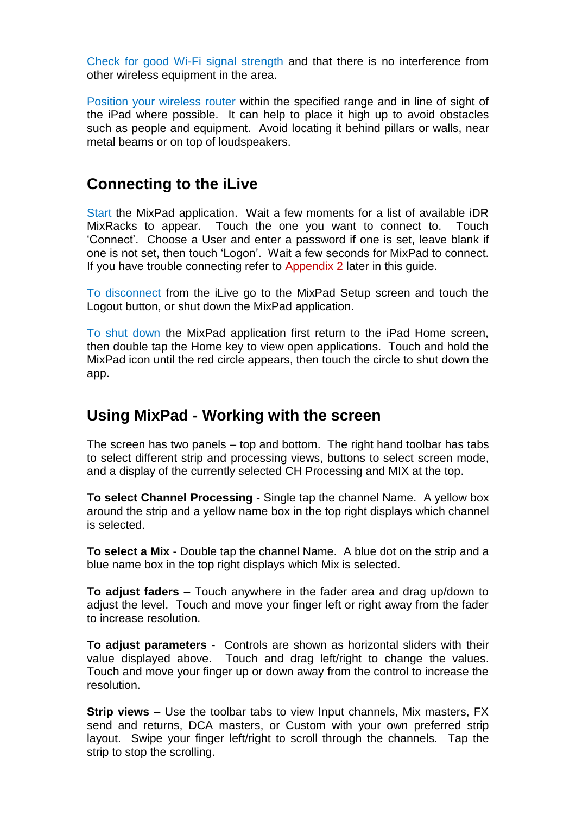Check for good Wi-Fi signal strength and that there is no interference from other wireless equipment in the area.

Position your wireless router within the specified range and in line of sight of the iPad where possible. It can help to place it high up to avoid obstacles such as people and equipment. Avoid locating it behind pillars or walls, near metal beams or on top of loudspeakers.

## **Connecting to the iLive**

Start the MixPad application. Wait a few moments for a list of available iDR MixRacks to appear. Touch the one you want to connect to. Touch 'Connect'. Choose a User and enter a password if one is set, leave blank if one is not set, then touch 'Logon'. Wait a few seconds for MixPad to connect. If you have trouble connecting refer to Appendix 2 later in this guide.

To disconnect from the iLive go to the MixPad Setup screen and touch the Logout button, or shut down the MixPad application.

To shut down the MixPad application first return to the iPad Home screen, then double tap the Home key to view open applications. Touch and hold the MixPad icon until the red circle appears, then touch the circle to shut down the app.

# **Using MixPad - Working with the screen**

The screen has two panels – top and bottom. The right hand toolbar has tabs to select different strip and processing views, buttons to select screen mode, and a display of the currently selected CH Processing and MIX at the top.

**To select Channel Processing** - Single tap the channel Name. A yellow box around the strip and a yellow name box in the top right displays which channel is selected.

**To select a Mix** - Double tap the channel Name. A blue dot on the strip and a blue name box in the top right displays which Mix is selected.

**To adjust faders** – Touch anywhere in the fader area and drag up/down to adjust the level. Touch and move your finger left or right away from the fader to increase resolution.

**To adjust parameters** - Controls are shown as horizontal sliders with their value displayed above. Touch and drag left/right to change the values. Touch and move your finger up or down away from the control to increase the resolution.

**Strip views** – Use the toolbar tabs to view Input channels, Mix masters, FX send and returns, DCA masters, or Custom with your own preferred strip layout. Swipe your finger left/right to scroll through the channels. Tap the strip to stop the scrolling.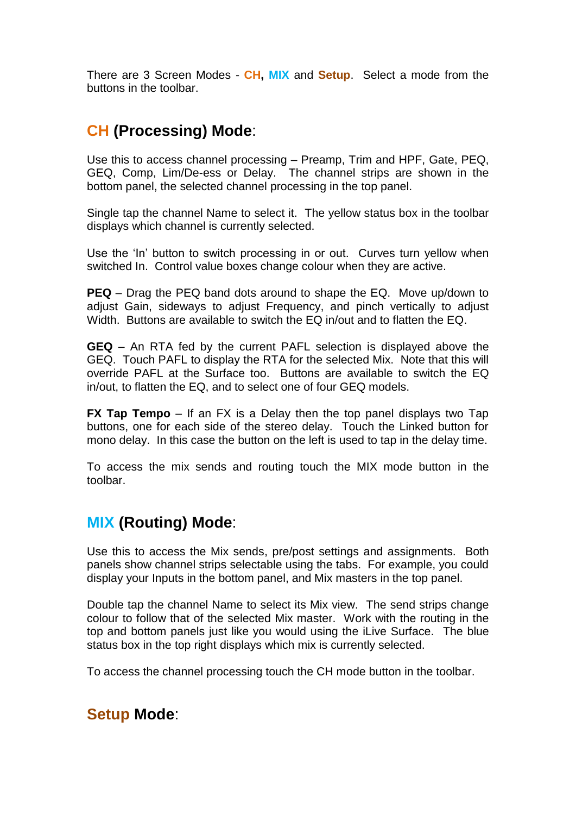There are 3 Screen Modes - **CH, MIX** and **Setup**. Select a mode from the buttons in the toolbar.

# **CH (Processing) Mode**:

Use this to access channel processing – Preamp, Trim and HPF, Gate, PEQ, GEQ, Comp, Lim/De-ess or Delay. The channel strips are shown in the bottom panel, the selected channel processing in the top panel.

Single tap the channel Name to select it. The yellow status box in the toolbar displays which channel is currently selected.

Use the 'In' button to switch processing in or out. Curves turn yellow when switched In. Control value boxes change colour when they are active.

**PEQ** – Drag the PEQ band dots around to shape the EQ. Move up/down to adjust Gain, sideways to adjust Frequency, and pinch vertically to adjust Width. Buttons are available to switch the EQ in/out and to flatten the EQ.

**GEQ** – An RTA fed by the current PAFL selection is displayed above the GEQ. Touch PAFL to display the RTA for the selected Mix. Note that this will override PAFL at the Surface too. Buttons are available to switch the EQ in/out, to flatten the EQ, and to select one of four GEQ models.

**FX Tap Tempo** – If an FX is a Delay then the top panel displays two Tap buttons, one for each side of the stereo delay. Touch the Linked button for mono delay. In this case the button on the left is used to tap in the delay time.

To access the mix sends and routing touch the MIX mode button in the toolbar.

# **MIX (Routing) Mode**:

Use this to access the Mix sends, pre/post settings and assignments. Both panels show channel strips selectable using the tabs. For example, you could display your Inputs in the bottom panel, and Mix masters in the top panel.

Double tap the channel Name to select its Mix view. The send strips change colour to follow that of the selected Mix master. Work with the routing in the top and bottom panels just like you would using the iLive Surface. The blue status box in the top right displays which mix is currently selected.

To access the channel processing touch the CH mode button in the toolbar.

### **Setup Mode**: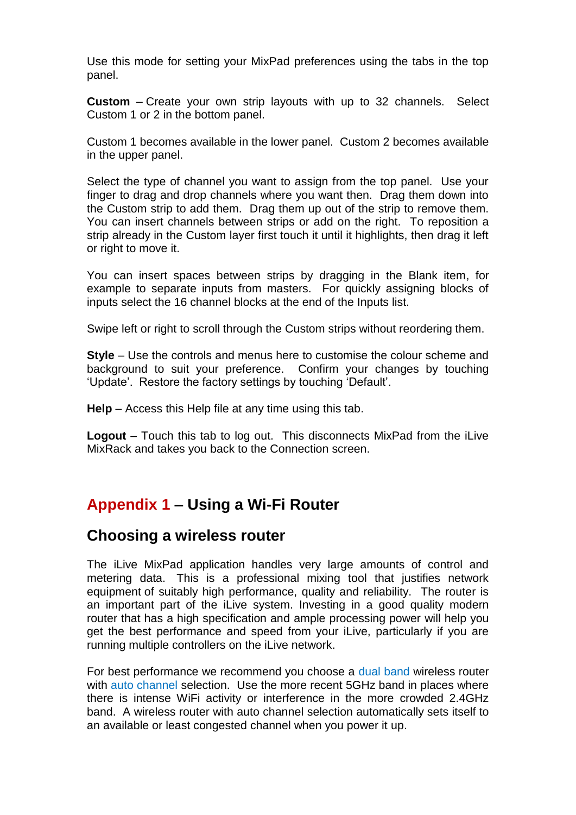Use this mode for setting your MixPad preferences using the tabs in the top panel.

**Custom** – Create your own strip layouts with up to 32 channels. Select Custom 1 or 2 in the bottom panel.

Custom 1 becomes available in the lower panel. Custom 2 becomes available in the upper panel.

Select the type of channel you want to assign from the top panel. Use your finger to drag and drop channels where you want then. Drag them down into the Custom strip to add them. Drag them up out of the strip to remove them. You can insert channels between strips or add on the right. To reposition a strip already in the Custom layer first touch it until it highlights, then drag it left or right to move it.

You can insert spaces between strips by dragging in the Blank item, for example to separate inputs from masters. For quickly assigning blocks of inputs select the 16 channel blocks at the end of the Inputs list.

Swipe left or right to scroll through the Custom strips without reordering them.

**Style** – Use the controls and menus here to customise the colour scheme and background to suit your preference. Confirm your changes by touching 'Update'. Restore the factory settings by touching 'Default'.

**Help** – Access this Help file at any time using this tab.

**Logout** – Touch this tab to log out. This disconnects MixPad from the iLive MixRack and takes you back to the Connection screen.

# **Appendix 1 – Using a Wi-Fi Router**

### **Choosing a wireless router**

The iLive MixPad application handles very large amounts of control and metering data. This is a professional mixing tool that justifies network equipment of suitably high performance, quality and reliability. The router is an important part of the iLive system. Investing in a good quality modern router that has a high specification and ample processing power will help you get the best performance and speed from your iLive, particularly if you are running multiple controllers on the iLive network.

For best performance we recommend you choose a dual band wireless router with auto channel selection. Use the more recent 5GHz band in places where there is intense WiFi activity or interference in the more crowded 2.4GHz band. A wireless router with auto channel selection automatically sets itself to an available or least congested channel when you power it up.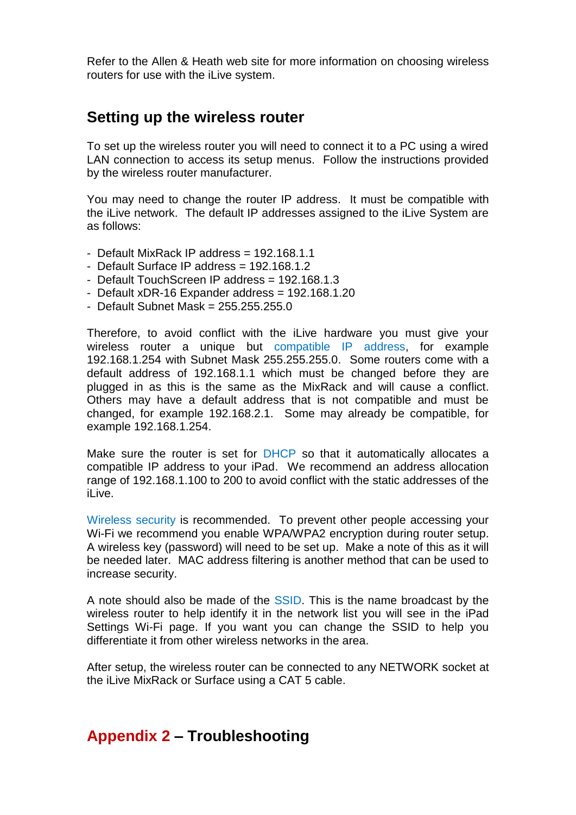Refer to the Allen & Heath web site for more information on choosing wireless routers for use with the iLive system.

### **Setting up the wireless router**

To set up the wireless router you will need to connect it to a PC using a wired LAN connection to access its setup menus. Follow the instructions provided by the wireless router manufacturer.

You may need to change the router IP address. It must be compatible with the iLive network. The default IP addresses assigned to the iLive System are as follows:

- Default MixRack IP address  $= 192.168.1.1$
- Default Surface IP address = 192.168.1.2
- Default TouchScreen IP address = 192.168.1.3
- Default  $xDR-16$  Expander address =  $192.168.1.20$
- Default Subnet Mask = 255.255.255.0

Therefore, to avoid conflict with the iLive hardware you must give your wireless router a unique but compatible IP address, for example 192.168.1.254 with Subnet Mask 255.255.255.0. Some routers come with a default address of 192.168.1.1 which must be changed before they are plugged in as this is the same as the MixRack and will cause a conflict. Others may have a default address that is not compatible and must be changed, for example 192.168.2.1. Some may already be compatible, for example 192.168.1.254.

Make sure the router is set for DHCP so that it automatically allocates a compatible IP address to your iPad. We recommend an address allocation range of 192.168.1.100 to 200 to avoid conflict with the static addresses of the iLive.

Wireless security is recommended. To prevent other people accessing your Wi-Fi we recommend you enable WPA/WPA2 encryption during router setup. A wireless key (password) will need to be set up. Make a note of this as it will be needed later. MAC address filtering is another method that can be used to increase security.

A note should also be made of the SSID. This is the name broadcast by the wireless router to help identify it in the network list you will see in the iPad Settings Wi-Fi page. If you want you can change the SSID to help you differentiate it from other wireless networks in the area.

After setup, the wireless router can be connected to any NETWORK socket at the iLive MixRack or Surface using a CAT 5 cable.

# **Appendix 2 – Troubleshooting**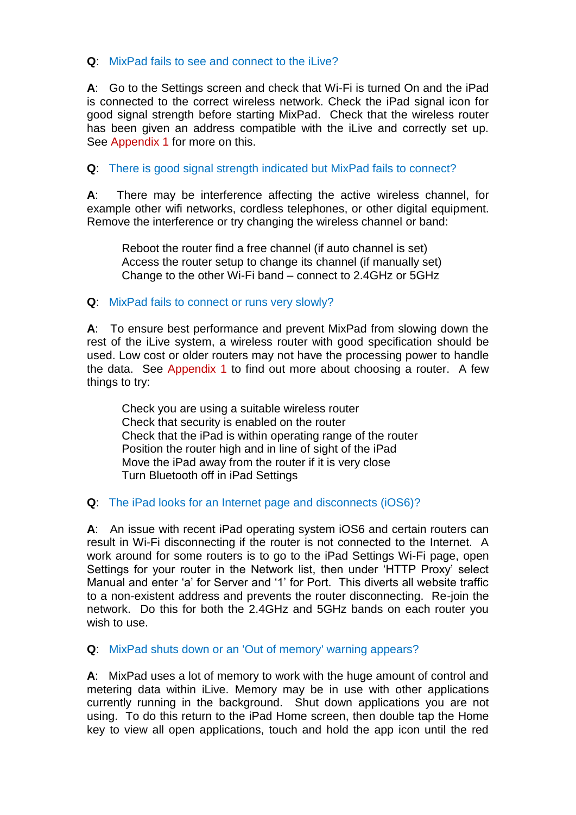### **Q**: MixPad fails to see and connect to the iLive?

**A**: Go to the Settings screen and check that Wi-Fi is turned On and the iPad is connected to the correct wireless network. Check the iPad signal icon for good signal strength before starting MixPad. Check that the wireless router has been given an address compatible with the iLive and correctly set up. See Appendix 1 for more on this.

### **Q**: There is good signal strength indicated but MixPad fails to connect?

**A**: There may be interference affecting the active wireless channel, for example other wifi networks, cordless telephones, or other digital equipment. Remove the interference or try changing the wireless channel or band:

Reboot the router find a free channel (if auto channel is set) Access the router setup to change its channel (if manually set) Change to the other Wi-Fi band – connect to 2.4GHz or 5GHz

#### **Q**: MixPad fails to connect or runs very slowly?

**A**: To ensure best performance and prevent MixPad from slowing down the rest of the iLive system, a wireless router with good specification should be used. Low cost or older routers may not have the processing power to handle the data. See Appendix 1 to find out more about choosing a router. A few things to try:

Check you are using a suitable wireless router Check that security is enabled on the router Check that the iPad is within operating range of the router Position the router high and in line of sight of the iPad Move the iPad away from the router if it is very close Turn Bluetooth off in iPad Settings

#### **Q**: The iPad looks for an Internet page and disconnects (iOS6)?

**A**: An issue with recent iPad operating system iOS6 and certain routers can result in Wi-Fi disconnecting if the router is not connected to the Internet. A work around for some routers is to go to the iPad Settings Wi-Fi page, open Settings for your router in the Network list, then under 'HTTP Proxy' select Manual and enter 'a' for Server and '1' for Port. This diverts all website traffic to a non-existent address and prevents the router disconnecting. Re-join the network. Do this for both the 2.4GHz and 5GHz bands on each router you wish to use.

**Q**: MixPad shuts down or an 'Out of memory' warning appears?

**A**: MixPad uses a lot of memory to work with the huge amount of control and metering data within iLive. Memory may be in use with other applications currently running in the background. Shut down applications you are not using. To do this return to the iPad Home screen, then double tap the Home key to view all open applications, touch and hold the app icon until the red